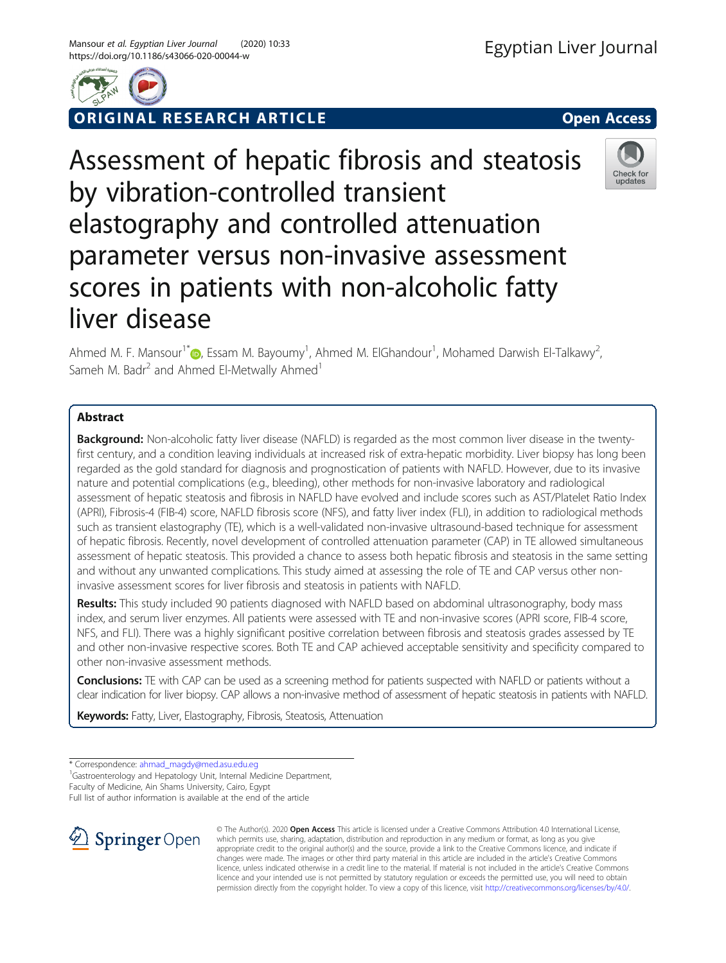

**RIGINAL RESEARCH ARTICLE CONSIDERING ACCESS** 

# Assessment of hepatic fibrosis and steatosis by vibration-controlled transient elastography and controlled attenuation parameter versus non-invasive assessment scores in patients with non-alcoholic fatty liver disease



Ahmed M. F. Mansour<sup>1[\\*](http://orcid.org/0000-0003-3124-2646)</sup> (D), Essam M. Bayoumy<sup>1</sup>, Ahmed M. ElGhandour<sup>1</sup>, Mohamed Darwish El-Talkawy<sup>2</sup> .<br>, Sameh M. Badr<sup>2</sup> and Ahmed El-Metwally Ahmed<sup>1</sup>

# Abstract

**Background:** Non-alcoholic fatty liver disease (NAFLD) is regarded as the most common liver disease in the twentyfirst century, and a condition leaving individuals at increased risk of extra-hepatic morbidity. Liver biopsy has long been regarded as the gold standard for diagnosis and prognostication of patients with NAFLD. However, due to its invasive nature and potential complications (e.g., bleeding), other methods for non-invasive laboratory and radiological assessment of hepatic steatosis and fibrosis in NAFLD have evolved and include scores such as AST/Platelet Ratio Index (APRI), Fibrosis-4 (FIB-4) score, NAFLD fibrosis score (NFS), and fatty liver index (FLI), in addition to radiological methods such as transient elastography (TE), which is a well-validated non-invasive ultrasound-based technique for assessment of hepatic fibrosis. Recently, novel development of controlled attenuation parameter (CAP) in TE allowed simultaneous assessment of hepatic steatosis. This provided a chance to assess both hepatic fibrosis and steatosis in the same setting and without any unwanted complications. This study aimed at assessing the role of TE and CAP versus other noninvasive assessment scores for liver fibrosis and steatosis in patients with NAFLD.

Results: This study included 90 patients diagnosed with NAFLD based on abdominal ultrasonography, body mass index, and serum liver enzymes. All patients were assessed with TE and non-invasive scores (APRI score, FIB-4 score, NFS, and FLI). There was a highly significant positive correlation between fibrosis and steatosis grades assessed by TE and other non-invasive respective scores. Both TE and CAP achieved acceptable sensitivity and specificity compared to other non-invasive assessment methods.

Conclusions: TE with CAP can be used as a screening method for patients suspected with NAFLD or patients without a clear indication for liver biopsy. CAP allows a non-invasive method of assessment of hepatic steatosis in patients with NAFLD.

Keywords: Fatty, Liver, Elastography, Fibrosis, Steatosis, Attenuation

<sup>1</sup>Gastroenterology and Hepatology Unit, Internal Medicine Department,

Faculty of Medicine, Ain Shams University, Cairo, Egypt

Full list of author information is available at the end of the article



© The Author(s). 2020 Open Access This article is licensed under a Creative Commons Attribution 4.0 International License, which permits use, sharing, adaptation, distribution and reproduction in any medium or format, as long as you give appropriate credit to the original author(s) and the source, provide a link to the Creative Commons licence, and indicate if changes were made. The images or other third party material in this article are included in the article's Creative Commons licence, unless indicated otherwise in a credit line to the material. If material is not included in the article's Creative Commons licence and your intended use is not permitted by statutory regulation or exceeds the permitted use, you will need to obtain permission directly from the copyright holder. To view a copy of this licence, visit <http://creativecommons.org/licenses/by/4.0/>.

<sup>\*</sup> Correspondence: [ahmad\\_magdy@med.asu.edu.eg](mailto:ahmad_magdy@med.asu.edu.eg) <sup>1</sup>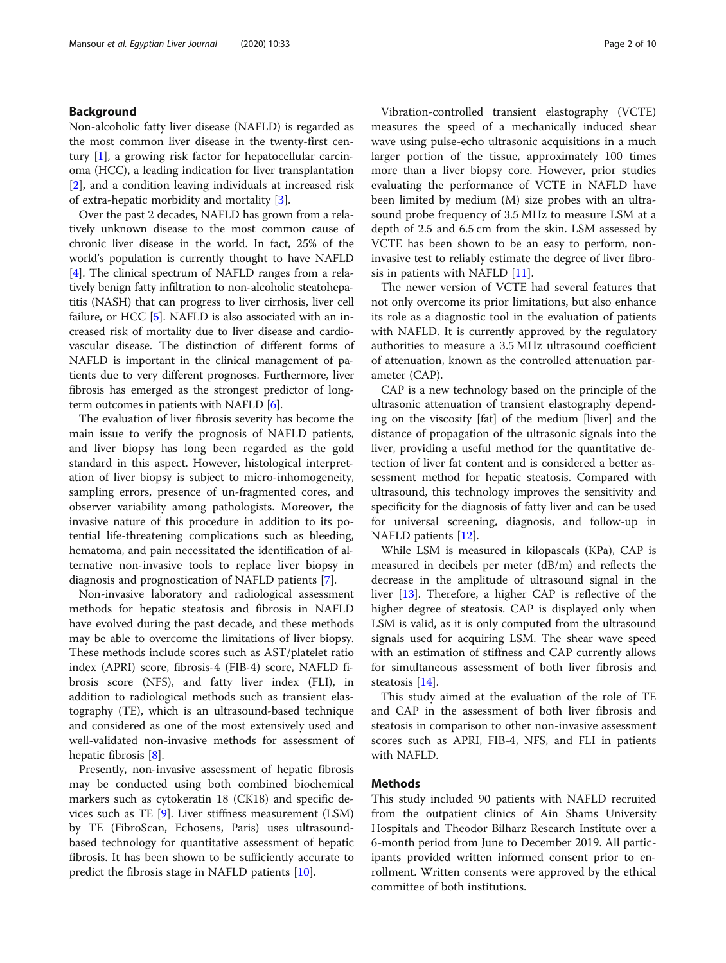## Background

Non-alcoholic fatty liver disease (NAFLD) is regarded as the most common liver disease in the twenty-first century [\[1](#page-8-0)], a growing risk factor for hepatocellular carcinoma (HCC), a leading indication for liver transplantation [[2\]](#page-8-0), and a condition leaving individuals at increased risk of extra-hepatic morbidity and mortality [\[3](#page-8-0)].

Over the past 2 decades, NAFLD has grown from a relatively unknown disease to the most common cause of chronic liver disease in the world. In fact, 25% of the world's population is currently thought to have NAFLD [[4\]](#page-8-0). The clinical spectrum of NAFLD ranges from a relatively benign fatty infiltration to non-alcoholic steatohepatitis (NASH) that can progress to liver cirrhosis, liver cell failure, or HCC [[5\]](#page-8-0). NAFLD is also associated with an increased risk of mortality due to liver disease and cardiovascular disease. The distinction of different forms of NAFLD is important in the clinical management of patients due to very different prognoses. Furthermore, liver fibrosis has emerged as the strongest predictor of longterm outcomes in patients with NAFLD [\[6\]](#page-8-0).

The evaluation of liver fibrosis severity has become the main issue to verify the prognosis of NAFLD patients, and liver biopsy has long been regarded as the gold standard in this aspect. However, histological interpretation of liver biopsy is subject to micro-inhomogeneity, sampling errors, presence of un-fragmented cores, and observer variability among pathologists. Moreover, the invasive nature of this procedure in addition to its potential life-threatening complications such as bleeding, hematoma, and pain necessitated the identification of alternative non-invasive tools to replace liver biopsy in diagnosis and prognostication of NAFLD patients [\[7](#page-8-0)].

Non-invasive laboratory and radiological assessment methods for hepatic steatosis and fibrosis in NAFLD have evolved during the past decade, and these methods may be able to overcome the limitations of liver biopsy. These methods include scores such as AST/platelet ratio index (APRI) score, fibrosis-4 (FIB-4) score, NAFLD fibrosis score (NFS), and fatty liver index (FLI), in addition to radiological methods such as transient elastography (TE), which is an ultrasound-based technique and considered as one of the most extensively used and well-validated non-invasive methods for assessment of hepatic fibrosis [[8\]](#page-8-0).

Presently, non-invasive assessment of hepatic fibrosis may be conducted using both combined biochemical markers such as cytokeratin 18 (CK18) and specific devices such as TE [\[9](#page-8-0)]. Liver stiffness measurement (LSM) by TE (FibroScan, Echosens, Paris) uses ultrasoundbased technology for quantitative assessment of hepatic fibrosis. It has been shown to be sufficiently accurate to predict the fibrosis stage in NAFLD patients [\[10\]](#page-8-0).

Vibration-controlled transient elastography (VCTE) measures the speed of a mechanically induced shear wave using pulse-echo ultrasonic acquisitions in a much larger portion of the tissue, approximately 100 times more than a liver biopsy core. However, prior studies evaluating the performance of VCTE in NAFLD have been limited by medium (M) size probes with an ultrasound probe frequency of 3.5 MHz to measure LSM at a depth of 2.5 and 6.5 cm from the skin. LSM assessed by VCTE has been shown to be an easy to perform, noninvasive test to reliably estimate the degree of liver fibrosis in patients with NAFLD [[11\]](#page-8-0).

The newer version of VCTE had several features that not only overcome its prior limitations, but also enhance its role as a diagnostic tool in the evaluation of patients with NAFLD. It is currently approved by the regulatory authorities to measure a 3.5 MHz ultrasound coefficient of attenuation, known as the controlled attenuation parameter (CAP).

CAP is a new technology based on the principle of the ultrasonic attenuation of transient elastography depending on the viscosity [fat] of the medium [liver] and the distance of propagation of the ultrasonic signals into the liver, providing a useful method for the quantitative detection of liver fat content and is considered a better assessment method for hepatic steatosis. Compared with ultrasound, this technology improves the sensitivity and specificity for the diagnosis of fatty liver and can be used for universal screening, diagnosis, and follow-up in NAFLD patients [\[12\]](#page-8-0).

While LSM is measured in kilopascals (KPa), CAP is measured in decibels per meter (dB/m) and reflects the decrease in the amplitude of ultrasound signal in the liver [\[13](#page-8-0)]. Therefore, a higher CAP is reflective of the higher degree of steatosis. CAP is displayed only when LSM is valid, as it is only computed from the ultrasound signals used for acquiring LSM. The shear wave speed with an estimation of stiffness and CAP currently allows for simultaneous assessment of both liver fibrosis and steatosis [[14\]](#page-8-0).

This study aimed at the evaluation of the role of TE and CAP in the assessment of both liver fibrosis and steatosis in comparison to other non-invasive assessment scores such as APRI, FIB-4, NFS, and FLI in patients with NAFLD.

## Methods

This study included 90 patients with NAFLD recruited from the outpatient clinics of Ain Shams University Hospitals and Theodor Bilharz Research Institute over a 6-month period from June to December 2019. All participants provided written informed consent prior to enrollment. Written consents were approved by the ethical committee of both institutions.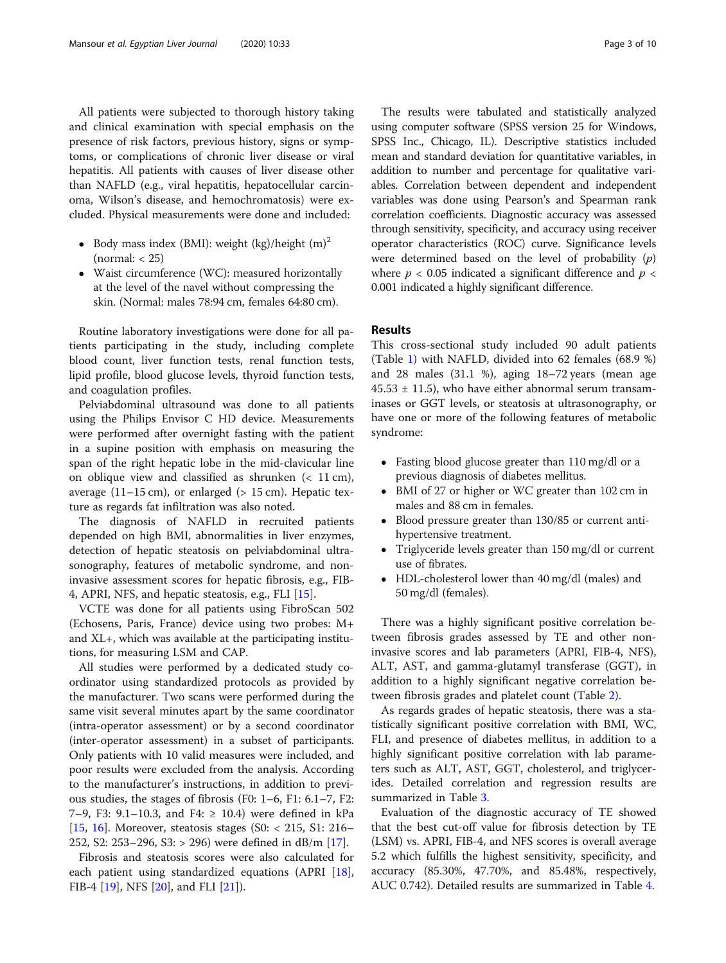All patients were subjected to thorough history taking and clinical examination with special emphasis on the presence of risk factors, previous history, signs or symptoms, or complications of chronic liver disease or viral hepatitis. All patients with causes of liver disease other than NAFLD (e.g., viral hepatitis, hepatocellular carcinoma, Wilson's disease, and hemochromatosis) were excluded. Physical measurements were done and included:

- Body mass index (BMI): weight (kg)/height  $(m)^2$  $(normal: < 25)$
- Waist circumference (WC): measured horizontally at the level of the navel without compressing the skin. (Normal: males 78:94 cm, females 64:80 cm).

Routine laboratory investigations were done for all patients participating in the study, including complete blood count, liver function tests, renal function tests, lipid profile, blood glucose levels, thyroid function tests, and coagulation profiles.

Pelviabdominal ultrasound was done to all patients using the Philips Envisor C HD device. Measurements were performed after overnight fasting with the patient in a supine position with emphasis on measuring the span of the right hepatic lobe in the mid-clavicular line on oblique view and classified as shrunken  $( $11 \text{ cm}$ ),$ average  $(11-15 \text{ cm})$ , or enlarged ( $> 15 \text{ cm}$ ). Hepatic texture as regards fat infiltration was also noted.

The diagnosis of NAFLD in recruited patients depended on high BMI, abnormalities in liver enzymes, detection of hepatic steatosis on pelviabdominal ultrasonography, features of metabolic syndrome, and noninvasive assessment scores for hepatic fibrosis, e.g., FIB-4, APRI, NFS, and hepatic steatosis, e.g., FLI [\[15](#page-8-0)].

VCTE was done for all patients using FibroScan 502 (Echosens, Paris, France) device using two probes: M+ and XL+, which was available at the participating institutions, for measuring LSM and CAP.

All studies were performed by a dedicated study coordinator using standardized protocols as provided by the manufacturer. Two scans were performed during the same visit several minutes apart by the same coordinator (intra-operator assessment) or by a second coordinator (inter-operator assessment) in a subset of participants. Only patients with 10 valid measures were included, and poor results were excluded from the analysis. According to the manufacturer's instructions, in addition to previous studies, the stages of fibrosis (F0: 1–6, F1: 6.1–7, F2: 7–9, F3: 9.1–10.3, and F4: ≥ 10.4) were defined in kPa [[15,](#page-8-0) [16](#page-8-0)]. Moreover, steatosis stages (S0: < 215, S1: 216– 252, S2: 253–296, S3: > 296) were defined in dB/m [\[17](#page-8-0)].

Fibrosis and steatosis scores were also calculated for each patient using standardized equations (APRI [\[18](#page-8-0)], FIB-4 [\[19](#page-8-0)], NFS [\[20](#page-8-0)], and FLI [\[21](#page-8-0)]).

The results were tabulated and statistically analyzed using computer software (SPSS version 25 for Windows, SPSS Inc., Chicago, IL). Descriptive statistics included mean and standard deviation for quantitative variables, in addition to number and percentage for qualitative variables. Correlation between dependent and independent variables was done using Pearson's and Spearman rank correlation coefficients. Diagnostic accuracy was assessed through sensitivity, specificity, and accuracy using receiver operator characteristics (ROC) curve. Significance levels were determined based on the level of probability  $(p)$ where  $p < 0.05$  indicated a significant difference and  $p <$ 0.001 indicated a highly significant difference.

## Results

This cross-sectional study included 90 adult patients (Table [1](#page-3-0)) with NAFLD, divided into 62 females (68.9 %) and 28 males (31.1 %), aging 18–72 years (mean age  $45.53 \pm 11.5$ , who have either abnormal serum transaminases or GGT levels, or steatosis at ultrasonography, or have one or more of the following features of metabolic syndrome:

- Fasting blood glucose greater than 110 mg/dl or a previous diagnosis of diabetes mellitus.
- BMI of 27 or higher or WC greater than 102 cm in males and 88 cm in females.
- Blood pressure greater than 130/85 or current antihypertensive treatment.
- Triglyceride levels greater than 150 mg/dl or current use of fibrates.
- HDL-cholesterol lower than 40 mg/dl (males) and 50 mg/dl (females).

There was a highly significant positive correlation between fibrosis grades assessed by TE and other noninvasive scores and lab parameters (APRI, FIB-4, NFS), ALT, AST, and gamma-glutamyl transferase (GGT), in addition to a highly significant negative correlation between fibrosis grades and platelet count (Table [2\)](#page-4-0).

As regards grades of hepatic steatosis, there was a statistically significant positive correlation with BMI, WC, FLI, and presence of diabetes mellitus, in addition to a highly significant positive correlation with lab parameters such as ALT, AST, GGT, cholesterol, and triglycerides. Detailed correlation and regression results are summarized in Table [3](#page-5-0).

Evaluation of the diagnostic accuracy of TE showed that the best cut-off value for fibrosis detection by TE (LSM) vs. APRI, FIB-4, and NFS scores is overall average 5.2 which fulfills the highest sensitivity, specificity, and accuracy (85.30%, 47.70%, and 85.48%, respectively, AUC 0.742). Detailed results are summarized in Table [4](#page-5-0).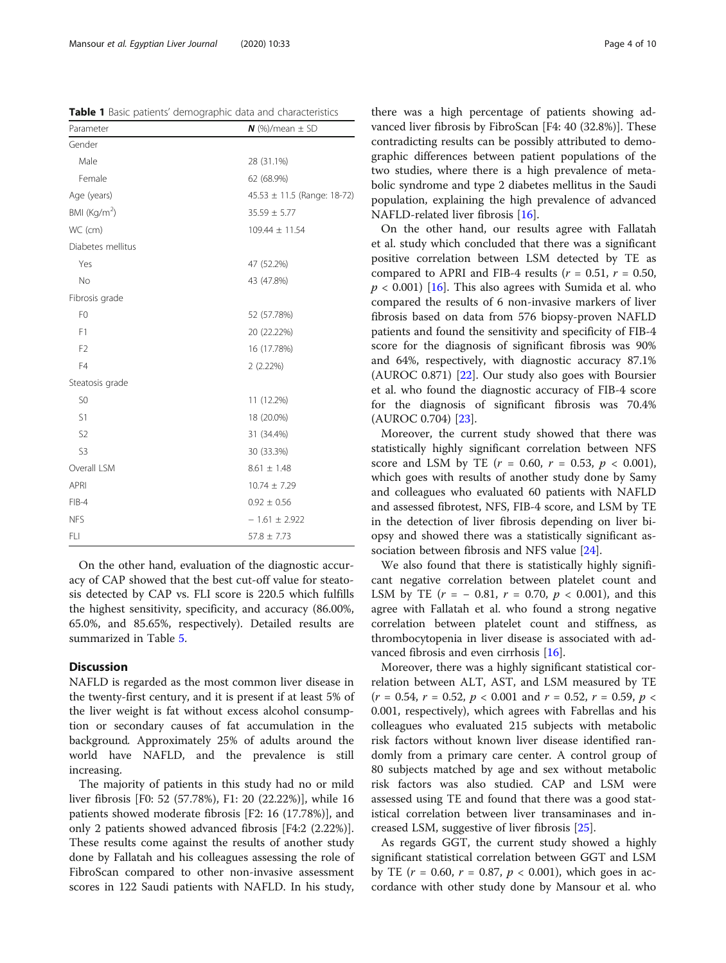On the other hand, evaluation of the diagnostic accuracy of CAP showed that the best cut-off value for steatosis detected by CAP vs. FLI score is 220.5 which fulfills the highest sensitivity, specificity, and accuracy (86.00%, 65.0%, and 85.65%, respectively). Detailed results are summarized in Table [5](#page-6-0).

## **Discussion**

NAFLD is regarded as the most common liver disease in the twenty-first century, and it is present if at least 5% of the liver weight is fat without excess alcohol consumption or secondary causes of fat accumulation in the background. Approximately 25% of adults around the world have NAFLD, and the prevalence is still increasing.

The majority of patients in this study had no or mild liver fibrosis [F0: 52 (57.78%), F1: 20 (22.22%)], while 16 patients showed moderate fibrosis [F2: 16 (17.78%)], and only 2 patients showed advanced fibrosis [F4:2 (2.22%)]. These results come against the results of another study done by Fallatah and his colleagues assessing the role of FibroScan compared to other non-invasive assessment scores in 122 Saudi patients with NAFLD. In his study,

there was a high percentage of patients showing advanced liver fibrosis by FibroScan [F4: 40 (32.8%)]. These contradicting results can be possibly attributed to demographic differences between patient populations of the two studies, where there is a high prevalence of metabolic syndrome and type 2 diabetes mellitus in the Saudi population, explaining the high prevalence of advanced NAFLD-related liver fibrosis [\[16](#page-8-0)].

On the other hand, our results agree with Fallatah et al. study which concluded that there was a significant positive correlation between LSM detected by TE as compared to APRI and FIB-4 results ( $r = 0.51$ ,  $r = 0.50$ ,  $p < 0.001$ ) [[16\]](#page-8-0). This also agrees with Sumida et al. who compared the results of 6 non-invasive markers of liver fibrosis based on data from 576 biopsy-proven NAFLD patients and found the sensitivity and specificity of FIB-4 score for the diagnosis of significant fibrosis was 90% and 64%, respectively, with diagnostic accuracy 87.1% (AUROC 0.871) [[22](#page-8-0)]. Our study also goes with Boursier et al. who found the diagnostic accuracy of FIB-4 score for the diagnosis of significant fibrosis was 70.4% (AUROC 0.704) [\[23](#page-8-0)].

Moreover, the current study showed that there was statistically highly significant correlation between NFS score and LSM by TE  $(r = 0.60, r = 0.53, p < 0.001)$ , which goes with results of another study done by Samy and colleagues who evaluated 60 patients with NAFLD and assessed fibrotest, NFS, FIB-4 score, and LSM by TE in the detection of liver fibrosis depending on liver biopsy and showed there was a statistically significant association between fibrosis and NFS value [\[24\]](#page-8-0).

We also found that there is statistically highly significant negative correlation between platelet count and LSM by TE  $(r = -0.81, r = 0.70, p < 0.001)$ , and this agree with Fallatah et al. who found a strong negative correlation between platelet count and stiffness, as thrombocytopenia in liver disease is associated with advanced fibrosis and even cirrhosis [[16\]](#page-8-0).

Moreover, there was a highly significant statistical correlation between ALT, AST, and LSM measured by TE  $(r = 0.54, r = 0.52, p < 0.001$  and  $r = 0.52, r = 0.59, p <$ 0.001, respectively), which agrees with Fabrellas and his colleagues who evaluated 215 subjects with metabolic risk factors without known liver disease identified randomly from a primary care center. A control group of 80 subjects matched by age and sex without metabolic risk factors was also studied. CAP and LSM were assessed using TE and found that there was a good statistical correlation between liver transaminases and increased LSM, suggestive of liver fibrosis [[25\]](#page-8-0).

As regards GGT, the current study showed a highly significant statistical correlation between GGT and LSM by TE ( $r = 0.60$ ,  $r = 0.87$ ,  $p < 0.001$ ), which goes in accordance with other study done by Mansour et al. who

<span id="page-3-0"></span>Table 1 Basic patients' demographic data and characteristics

| Parameter                    | $N$ (%)/mean $\pm$ SD       |  |
|------------------------------|-----------------------------|--|
| Gender                       |                             |  |
| Male                         | 28 (31.1%)                  |  |
| Female                       | 62 (68.9%)                  |  |
| Age (years)                  | 45.53 ± 11.5 (Range: 18-72) |  |
| BMI (Kg/m <sup>2</sup> )     | $35.59 \pm 5.77$            |  |
| WC (cm)                      | $109.44 \pm 11.54$          |  |
| Diabetes mellitus            |                             |  |
| Yes                          | 47 (52.2%)                  |  |
| <b>No</b>                    | 43 (47.8%)                  |  |
| Fibrosis grade               |                             |  |
| F <sub>0</sub>               | 52 (57.78%)                 |  |
| F1                           | 20 (22.22%)                 |  |
| F <sub>2</sub>               | 16 (17.78%)                 |  |
| F4                           | 2(2.22%)                    |  |
| Steatosis grade              |                             |  |
| S <sub>0</sub>               | 11 (12.2%)                  |  |
| S1<br>18 (20.0%)             |                             |  |
| S <sub>2</sub><br>31 (34.4%) |                             |  |
| S <sub>3</sub>               | 30 (33.3%)                  |  |
| Overall LSM                  | $8.61 \pm 1.48$             |  |
| <b>APRI</b>                  | $10.74 \pm 7.29$            |  |
| $FIB-4$                      | $0.92 \pm 0.56$             |  |
| <b>NFS</b>                   | $-1.61 \pm 2.922$           |  |
| FLI                          | $57.8 \pm 7.73$             |  |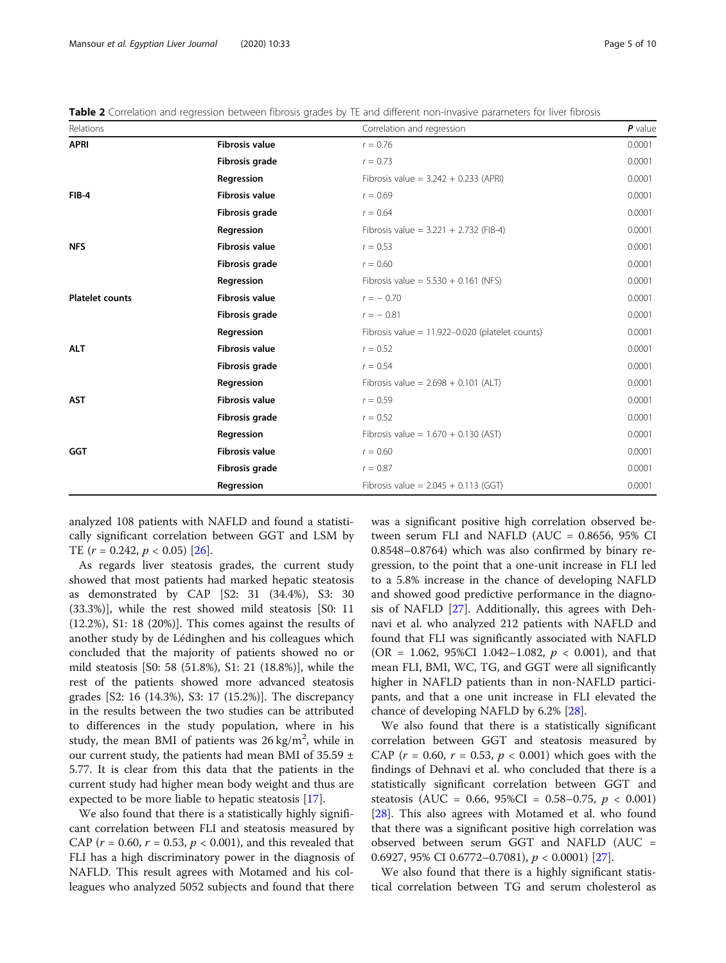<span id="page-4-0"></span>Mansour et al. Egyptian Liver Journal (2020) 10:33 Page 5 of 10

Table 2 Correlation and regression between fibrosis grades by TE and different non-invasive parameters for liver fibrosis

| Relations              |                       | Correlation and regression                          | $P$ value |
|------------------------|-----------------------|-----------------------------------------------------|-----------|
| <b>APRI</b>            | <b>Fibrosis value</b> | $r = 0.76$                                          | 0.0001    |
|                        | Fibrosis grade        | $r = 0.73$                                          | 0.0001    |
|                        | Regression            | Fibrosis value = $3.242 + 0.233$ (APRI)             | 0.0001    |
| $FIB-4$                | <b>Fibrosis value</b> | $r = 0.69$                                          | 0.0001    |
|                        | Fibrosis grade        | $r = 0.64$                                          | 0.0001    |
|                        | Regression            | Fibrosis value = $3.221 + 2.732$ (FIB-4)            | 0.0001    |
| <b>NFS</b>             | <b>Fibrosis value</b> | $r = 0.53$                                          | 0.0001    |
|                        | Fibrosis grade        | $r = 0.60$                                          | 0.0001    |
|                        | Regression            | Fibrosis value = $5.530 + 0.161$ (NFS)              | 0.0001    |
| <b>Platelet counts</b> | <b>Fibrosis value</b> | $r = -0.70$                                         | 0.0001    |
|                        | Fibrosis grade        | $r = -0.81$                                         | 0.0001    |
|                        | Regression            | Fibrosis value = $11.922 - 0.020$ (platelet counts) | 0.0001    |
| <b>ALT</b>             | <b>Fibrosis value</b> | $r = 0.52$                                          | 0.0001    |
|                        | Fibrosis grade        | $r = 0.54$                                          | 0.0001    |
|                        | Regression            | Fibrosis value = $2.698 + 0.101$ (ALT)              | 0.0001    |
| <b>AST</b>             | <b>Fibrosis value</b> | $r = 0.59$                                          | 0.0001    |
|                        | Fibrosis grade        | $r = 0.52$                                          | 0.0001    |
|                        | Regression            | Fibrosis value = $1.670 + 0.130$ (AST)              | 0.0001    |
| <b>GGT</b>             | <b>Fibrosis value</b> | $r = 0.60$                                          | 0.0001    |
|                        | Fibrosis grade        | $r = 0.87$                                          | 0.0001    |
|                        | Regression            | Fibrosis value = $2.045 + 0.113$ (GGT)              | 0.0001    |

analyzed 108 patients with NAFLD and found a statistically significant correlation between GGT and LSM by TE  $(r = 0.242, p < 0.05)$  [\[26](#page-8-0)].

As regards liver steatosis grades, the current study showed that most patients had marked hepatic steatosis as demonstrated by CAP [S2: 31 (34.4%), S3: 30 (33.3%)], while the rest showed mild steatosis [S0: 11 (12.2%), S1: 18 (20%)]. This comes against the results of another study by de Lédinghen and his colleagues which concluded that the majority of patients showed no or mild steatosis [S0: 58 (51.8%), S1: 21 (18.8%)], while the rest of the patients showed more advanced steatosis grades [S2: 16 (14.3%), S3: 17 (15.2%)]. The discrepancy in the results between the two studies can be attributed to differences in the study population, where in his study, the mean BMI of patients was  $26 \text{ kg/m}^2$ , while in our current study, the patients had mean BMI of 35.59 ± 5.77. It is clear from this data that the patients in the current study had higher mean body weight and thus are expected to be more liable to hepatic steatosis [[17\]](#page-8-0).

We also found that there is a statistically highly significant correlation between FLI and steatosis measured by CAP ( $r = 0.60$ ,  $r = 0.53$ ,  $p < 0.001$ ), and this revealed that FLI has a high discriminatory power in the diagnosis of NAFLD. This result agrees with Motamed and his colleagues who analyzed 5052 subjects and found that there was a significant positive high correlation observed between serum FLI and NAFLD (AUC = 0.8656, 95% CI 0.8548–0.8764) which was also confirmed by binary regression, to the point that a one-unit increase in FLI led to a 5.8% increase in the chance of developing NAFLD and showed good predictive performance in the diagnosis of NAFLD [\[27\]](#page-8-0). Additionally, this agrees with Dehnavi et al. who analyzed 212 patients with NAFLD and found that FLI was significantly associated with NAFLD (OR = 1.062, 95%CI 1.042–1.082,  $p < 0.001$ ), and that mean FLI, BMI, WC, TG, and GGT were all significantly higher in NAFLD patients than in non-NAFLD participants, and that a one unit increase in FLI elevated the chance of developing NAFLD by 6.2% [\[28](#page-8-0)].

We also found that there is a statistically significant correlation between GGT and steatosis measured by CAP ( $r = 0.60$ ,  $r = 0.53$ ,  $p < 0.001$ ) which goes with the findings of Dehnavi et al. who concluded that there is a statistically significant correlation between GGT and steatosis (AUC = 0.66, 95%CI = 0.58–0.75,  $p < 0.001$ ) [[28\]](#page-8-0). This also agrees with Motamed et al. who found that there was a significant positive high correlation was observed between serum GGT and NAFLD (AUC = 0.6927, 95% CI 0.6772–0.7081),  $p < 0.0001$  [[27\]](#page-8-0).

We also found that there is a highly significant statistical correlation between TG and serum cholesterol as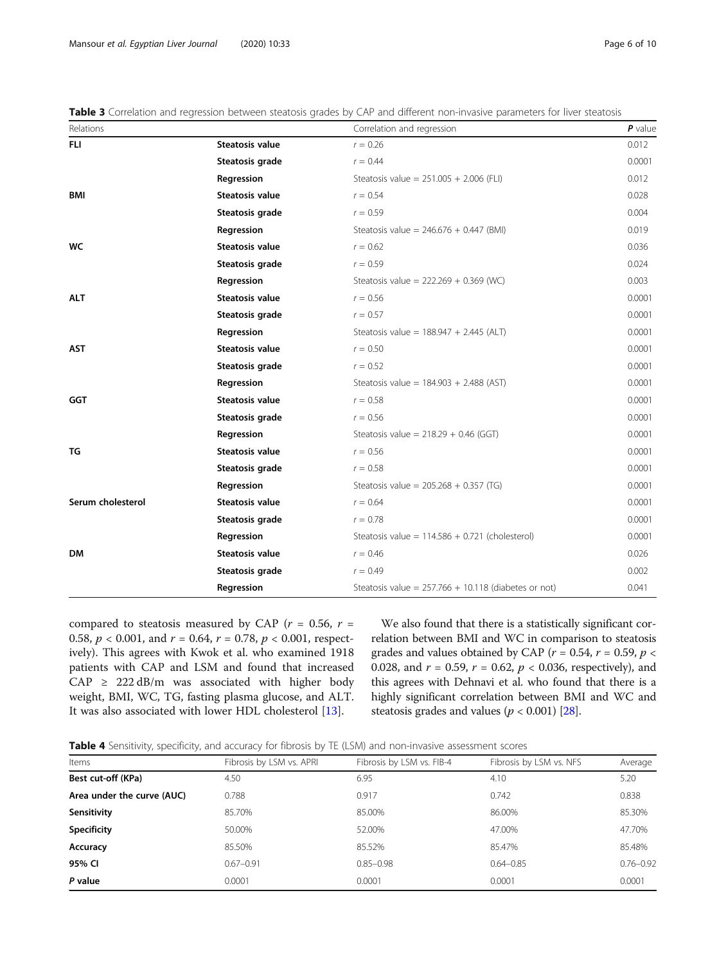<span id="page-5-0"></span>Mansour et al. Egyptian Liver Journal (2020) 10:33 Page 6 of 10

| Table 3 Correlation and regression between steatosis grades by CAP and different non-invasive parameters for liver steatosis |  |  |  |
|------------------------------------------------------------------------------------------------------------------------------|--|--|--|
|                                                                                                                              |  |  |  |

| Relations         |                        | Correlation and regression                             | $P$ value |
|-------------------|------------------------|--------------------------------------------------------|-----------|
| <b>FLI</b>        | <b>Steatosis value</b> | $r = 0.26$                                             | 0.012     |
|                   | Steatosis grade        | $r = 0.44$                                             | 0.0001    |
|                   | Regression             | Steatosis value = $251.005 + 2.006$ (FLI)              | 0.012     |
| <b>BMI</b>        | Steatosis value        | $r = 0.54$                                             | 0.028     |
|                   | Steatosis grade        | $r = 0.59$                                             | 0.004     |
|                   | Regression             | Steatosis value = $246.676 + 0.447$ (BMI)              | 0.019     |
| <b>WC</b>         | Steatosis value        | $r = 0.62$                                             | 0.036     |
|                   | Steatosis grade        | $r = 0.59$                                             | 0.024     |
|                   | Regression             | Steatosis value = $222.269 + 0.369$ (WC)               | 0.003     |
| <b>ALT</b>        | Steatosis value        | $r = 0.56$                                             | 0.0001    |
|                   | Steatosis grade        | $r = 0.57$                                             | 0.0001    |
|                   | Regression             | Steatosis value = $188.947 + 2.445$ (ALT)              | 0.0001    |
| <b>AST</b>        | Steatosis value        | $r = 0.50$                                             | 0.0001    |
|                   | Steatosis grade        | $r = 0.52$                                             | 0.0001    |
|                   | Regression             | Steatosis value = $184.903 + 2.488$ (AST)              | 0.0001    |
| GGT               | Steatosis value        | $r = 0.58$                                             | 0.0001    |
|                   | Steatosis grade        | $r = 0.56$                                             | 0.0001    |
|                   | Regression             | Steatosis value = $218.29 + 0.46$ (GGT)                | 0.0001    |
| ΤG                | <b>Steatosis value</b> | $r = 0.56$                                             | 0.0001    |
|                   | Steatosis grade        | $r = 0.58$                                             | 0.0001    |
|                   | Regression             | Steatosis value = $205.268 + 0.357$ (TG)               | 0.0001    |
| Serum cholesterol | Steatosis value        | $r = 0.64$                                             | 0.0001    |
|                   | Steatosis grade        | $r = 0.78$                                             | 0.0001    |
|                   | Regression             | Steatosis value = $114.586 + 0.721$ (cholesterol)      | 0.0001    |
| <b>DM</b>         | Steatosis value        | $r = 0.46$                                             | 0.026     |
|                   | Steatosis grade        | $r = 0.49$                                             | 0.002     |
|                   | Regression             | Steatosis value = $257.766 + 10.118$ (diabetes or not) | 0.041     |

compared to steatosis measured by CAP ( $r = 0.56$ ,  $r =$ 0.58,  $p < 0.001$ , and  $r = 0.64$ ,  $r = 0.78$ ,  $p < 0.001$ , respectively). This agrees with Kwok et al. who examined 1918 patients with CAP and LSM and found that increased CAP  $\geq$  222 dB/m was associated with higher body weight, BMI, WC, TG, fasting plasma glucose, and ALT. It was also associated with lower HDL cholesterol [\[13\]](#page-8-0).

We also found that there is a statistically significant correlation between BMI and WC in comparison to steatosis grades and values obtained by CAP ( $r = 0.54$ ,  $r = 0.59$ ,  $p <$ 0.028, and  $r = 0.59$ ,  $r = 0.62$ ,  $p < 0.036$ , respectively), and this agrees with Dehnavi et al. who found that there is a highly significant correlation between BMI and WC and steatosis grades and values ( $p < 0.001$ ) [\[28\]](#page-8-0).

Table 4 Sensitivity, specificity, and accuracy for fibrosis by TE (LSM) and non-invasive assessment scores

| Items                      | Fibrosis by LSM vs. APRI | Fibrosis by LSM vs. FIB-4 | Fibrosis by LSM vs. NFS | Average       |
|----------------------------|--------------------------|---------------------------|-------------------------|---------------|
| Best cut-off (KPa)         | 4.50                     | 6.95                      | 4.10                    | 5.20          |
| Area under the curve (AUC) | 0.788                    | 0.917                     | 0.742                   | 0.838         |
| Sensitivity                | 85.70%                   | 85.00%                    | 86.00%                  | 85.30%        |
| Specificity                | 50.00%                   | 52.00%                    | 47.00%                  | 47.70%        |
| Accuracy                   | 85.50%                   | 85.52%                    | 85.47%                  | 85.48%        |
| 95% CI                     | $0.67 - 0.91$            | $0.85 - 0.98$             | $0.64 - 0.85$           | $0.76 - 0.92$ |
| P value                    | 0.0001                   | 0.0001                    | 0.0001                  | 0.0001        |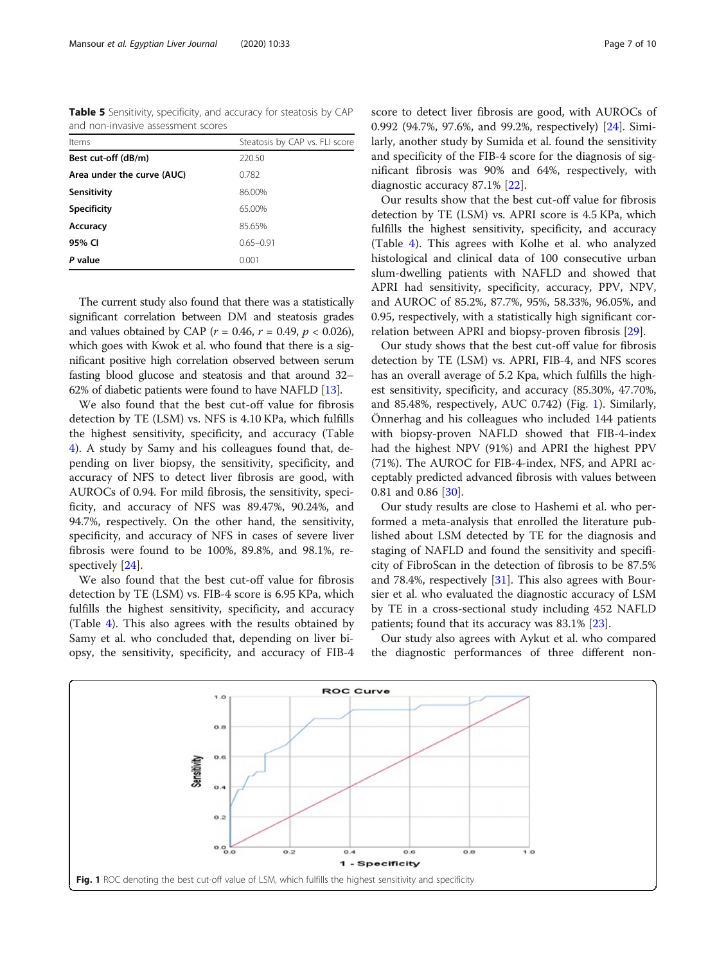<span id="page-6-0"></span>Table 5 Sensitivity, specificity, and accuracy for steatosis by CAP and non-invasive assessment scores

| Items                      | Steatosis by CAP vs. FLI score |
|----------------------------|--------------------------------|
| Best cut-off (dB/m)        | 220.50                         |
| Area under the curve (AUC) | 0.782                          |
| Sensitivity                | 86.00%                         |
| <b>Specificity</b>         | 65.00%                         |
| Accuracy                   | 85.65%                         |
| 95% CI                     | $0.65 - 0.91$                  |
| P value                    | 0.001                          |

The current study also found that there was a statistically significant correlation between DM and steatosis grades and values obtained by CAP ( $r = 0.46$ ,  $r = 0.49$ ,  $p < 0.026$ ), which goes with Kwok et al. who found that there is a significant positive high correlation observed between serum fasting blood glucose and steatosis and that around 32– 62% of diabetic patients were found to have NAFLD [[13](#page-8-0)].

We also found that the best cut-off value for fibrosis detection by TE (LSM) vs. NFS is 4.10 KPa, which fulfills the highest sensitivity, specificity, and accuracy (Table [4\)](#page-5-0). A study by Samy and his colleagues found that, depending on liver biopsy, the sensitivity, specificity, and accuracy of NFS to detect liver fibrosis are good, with AUROCs of 0.94. For mild fibrosis, the sensitivity, specificity, and accuracy of NFS was 89.47%, 90.24%, and 94.7%, respectively. On the other hand, the sensitivity, specificity, and accuracy of NFS in cases of severe liver fibrosis were found to be 100%, 89.8%, and 98.1%, respectively [\[24\]](#page-8-0).

We also found that the best cut-off value for fibrosis detection by TE (LSM) vs. FIB-4 score is 6.95 KPa, which fulfills the highest sensitivity, specificity, and accuracy (Table [4\)](#page-5-0). This also agrees with the results obtained by Samy et al. who concluded that, depending on liver biopsy, the sensitivity, specificity, and accuracy of FIB-4 score to detect liver fibrosis are good, with AUROCs of 0.992 (94.7%, 97.6%, and 99.2%, respectively) [[24\]](#page-8-0). Similarly, another study by Sumida et al. found the sensitivity and specificity of the FIB-4 score for the diagnosis of significant fibrosis was 90% and 64%, respectively, with diagnostic accuracy 87.1% [\[22\]](#page-8-0).

Our results show that the best cut-off value for fibrosis detection by TE (LSM) vs. APRI score is 4.5 KPa, which fulfills the highest sensitivity, specificity, and accuracy (Table [4\)](#page-5-0). This agrees with Kolhe et al. who analyzed histological and clinical data of 100 consecutive urban slum-dwelling patients with NAFLD and showed that APRI had sensitivity, specificity, accuracy, PPV, NPV, and AUROC of 85.2%, 87.7%, 95%, 58.33%, 96.05%, and 0.95, respectively, with a statistically high significant correlation between APRI and biopsy-proven fibrosis [[29\]](#page-8-0).

Our study shows that the best cut-off value for fibrosis detection by TE (LSM) vs. APRI, FIB-4, and NFS scores has an overall average of 5.2 Kpa, which fulfills the highest sensitivity, specificity, and accuracy (85.30%, 47.70%, and 85.48%, respectively, AUC 0.742) (Fig. 1). Similarly, Önnerhag and his colleagues who included 144 patients with biopsy-proven NAFLD showed that FIB-4-index had the highest NPV (91%) and APRI the highest PPV (71%). The AUROC for FIB-4-index, NFS, and APRI acceptably predicted advanced fibrosis with values between 0.81 and 0.86 [\[30](#page-9-0)].

Our study results are close to Hashemi et al. who performed a meta-analysis that enrolled the literature published about LSM detected by TE for the diagnosis and staging of NAFLD and found the sensitivity and specificity of FibroScan in the detection of fibrosis to be 87.5% and 78.4%, respectively [\[31\]](#page-9-0). This also agrees with Boursier et al. who evaluated the diagnostic accuracy of LSM by TE in a cross-sectional study including 452 NAFLD patients; found that its accuracy was 83.1% [\[23](#page-8-0)].

Our study also agrees with Aykut et al. who compared the diagnostic performances of three different non-

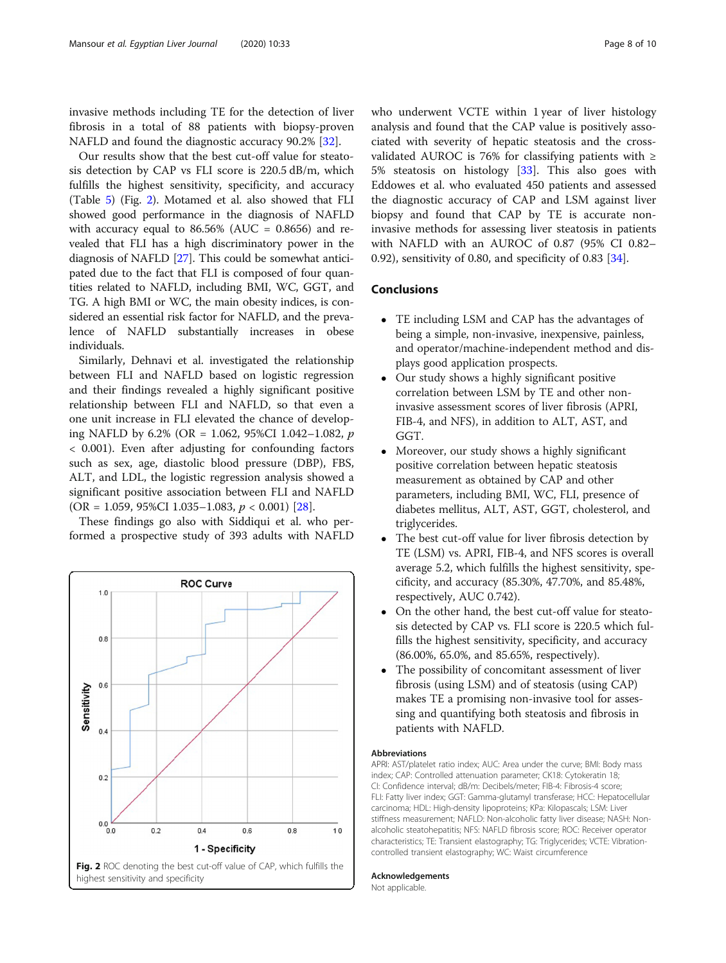invasive methods including TE for the detection of liver fibrosis in a total of 88 patients with biopsy-proven NAFLD and found the diagnostic accuracy 90.2% [[32\]](#page-9-0).

Our results show that the best cut-off value for steatosis detection by CAP vs FLI score is 220.5 dB/m, which fulfills the highest sensitivity, specificity, and accuracy (Table [5](#page-6-0)) (Fig. 2). Motamed et al. also showed that FLI showed good performance in the diagnosis of NAFLD with accuracy equal to  $86.56\%$  (AUC = 0.8656) and revealed that FLI has a high discriminatory power in the diagnosis of NAFLD [\[27\]](#page-8-0). This could be somewhat anticipated due to the fact that FLI is composed of four quantities related to NAFLD, including BMI, WC, GGT, and TG. A high BMI or WC, the main obesity indices, is considered an essential risk factor for NAFLD, and the prevalence of NAFLD substantially increases in obese individuals.

Similarly, Dehnavi et al. investigated the relationship between FLI and NAFLD based on logistic regression and their findings revealed a highly significant positive relationship between FLI and NAFLD, so that even a one unit increase in FLI elevated the chance of developing NAFLD by 6.2% (OR = 1.062, 95%CI 1.042-1.082,  $p$ < 0.001). Even after adjusting for confounding factors such as sex, age, diastolic blood pressure (DBP), FBS, ALT, and LDL, the logistic regression analysis showed a significant positive association between FLI and NAFLD  $(OR = 1.059, 95\% CI\ 1.035 - 1.083, p < 0.001)$  [\[28](#page-8-0)].

These findings go also with Siddiqui et al. who performed a prospective study of 393 adults with NAFLD



who underwent VCTE within 1 year of liver histology analysis and found that the CAP value is positively associated with severity of hepatic steatosis and the crossvalidated AUROC is 76% for classifying patients with  $\ge$ 5% steatosis on histology [\[33](#page-9-0)]. This also goes with Eddowes et al. who evaluated 450 patients and assessed the diagnostic accuracy of CAP and LSM against liver biopsy and found that CAP by TE is accurate noninvasive methods for assessing liver steatosis in patients with NAFLD with an AUROC of 0.87 (95% CI 0.82– 0.92), sensitivity of 0.80, and specificity of 0.83 [\[34\]](#page-9-0).

## Conclusions

- TE including LSM and CAP has the advantages of being a simple, non-invasive, inexpensive, painless, and operator/machine-independent method and displays good application prospects.
- Our study shows a highly significant positive correlation between LSM by TE and other noninvasive assessment scores of liver fibrosis (APRI, FIB-4, and NFS), in addition to ALT, AST, and GGT.
- Moreover, our study shows a highly significant positive correlation between hepatic steatosis measurement as obtained by CAP and other parameters, including BMI, WC, FLI, presence of diabetes mellitus, ALT, AST, GGT, cholesterol, and triglycerides.
- The best cut-off value for liver fibrosis detection by TE (LSM) vs. APRI, FIB-4, and NFS scores is overall average 5.2, which fulfills the highest sensitivity, specificity, and accuracy (85.30%, 47.70%, and 85.48%, respectively, AUC 0.742).
- On the other hand, the best cut-off value for steatosis detected by CAP vs. FLI score is 220.5 which fulfills the highest sensitivity, specificity, and accuracy (86.00%, 65.0%, and 85.65%, respectively).
- The possibility of concomitant assessment of liver fibrosis (using LSM) and of steatosis (using CAP) makes TE a promising non-invasive tool for assessing and quantifying both steatosis and fibrosis in patients with NAFLD.

#### Abbreviations

APRI: AST/platelet ratio index; AUC: Area under the curve; BMI: Body mass index; CAP: Controlled attenuation parameter; CK18: Cytokeratin 18; CI: Confidence interval; dB/m: Decibels/meter; FIB-4: Fibrosis-4 score; FLI: Fatty liver index; GGT: Gamma-glutamyl transferase; HCC: Hepatocellular carcinoma; HDL: High-density lipoproteins; KPa: Kilopascals; LSM: Liver stiffness measurement; NAFLD: Non-alcoholic fatty liver disease; NASH: Nonalcoholic steatohepatitis; NFS: NAFLD fibrosis score; ROC: Receiver operator characteristics; TE: Transient elastography; TG: Triglycerides; VCTE: Vibrationcontrolled transient elastography; WC: Waist circumference

#### Acknowledgements

Not applicable.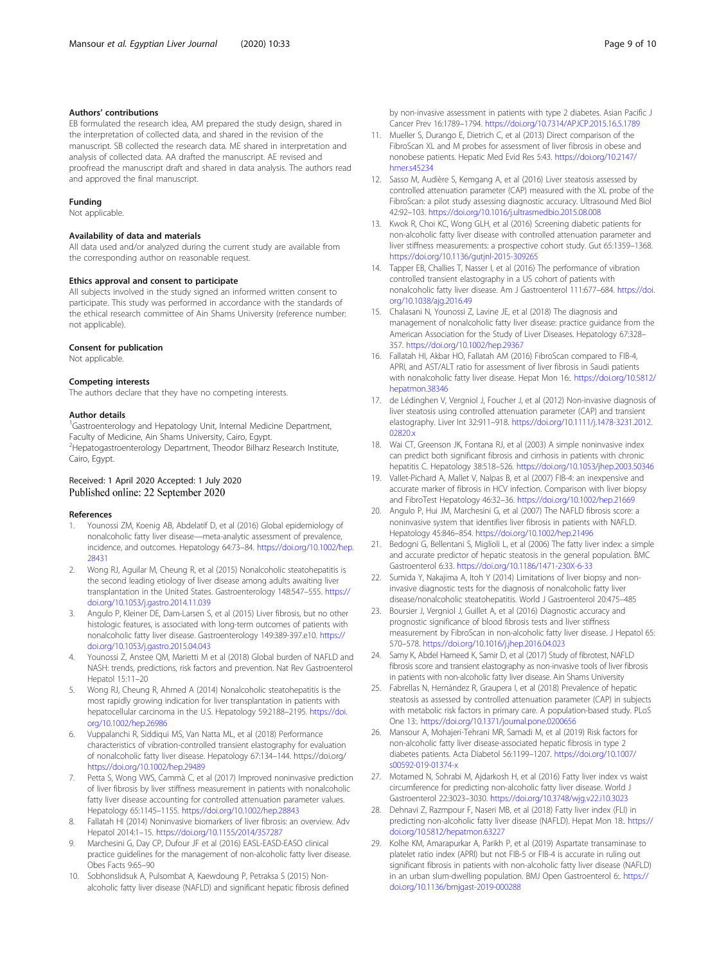### <span id="page-8-0"></span>Authors' contributions

EB formulated the research idea, AM prepared the study design, shared in the interpretation of collected data, and shared in the revision of the manuscript. SB collected the research data. ME shared in interpretation and analysis of collected data. AA drafted the manuscript. AE revised and proofread the manuscript draft and shared in data analysis. The authors read and approved the final manuscript.

#### Funding

Not applicable.

## Availability of data and materials

All data used and/or analyzed during the current study are available from the corresponding author on reasonable request.

#### Ethics approval and consent to participate

All subjects involved in the study signed an informed written consent to participate. This study was performed in accordance with the standards of the ethical research committee of Ain Shams University (reference number: not applicable).

#### Consent for publication

Not applicable.

#### Competing interests

The authors declare that they have no competing interests.

#### Author details

<sup>1</sup>Gastroenterology and Hepatology Unit, Internal Medicine Department, Faculty of Medicine, Ain Shams University, Cairo, Egypt. <sup>2</sup>Hepatogastroenterology Department, Theodor Bilharz Research Institute, Cairo, Egypt.

## Received: 1 April 2020 Accepted: 1 July 2020 Published online: 22 September 2020

#### References

- Younossi ZM, Koenig AB, Abdelatif D, et al (2016) Global epidemiology of nonalcoholic fatty liver disease—meta-analytic assessment of prevalence, incidence, and outcomes. Hepatology 64:73–84. [https://doi.org/10.1002/hep.](https://doi.org/10.1002/hep.28431) [28431](https://doi.org/10.1002/hep.28431)
- 2. Wong RJ, Aguilar M, Cheung R, et al (2015) Nonalcoholic steatohepatitis is the second leading etiology of liver disease among adults awaiting liver transplantation in the United States. Gastroenterology 148:547–555. [https://](https://doi.org/10.1053/j.gastro.2014.11.039) [doi.org/10.1053/j.gastro.2014.11.039](https://doi.org/10.1053/j.gastro.2014.11.039)
- 3. Angulo P, Kleiner DE, Dam-Larsen S, et al (2015) Liver fibrosis, but no other histologic features, is associated with long-term outcomes of patients with nonalcoholic fatty liver disease. Gastroenterology 149:389-397.e10. [https://](https://doi.org/10.1053/j.gastro.2015.04.043) [doi.org/10.1053/j.gastro.2015.04.043](https://doi.org/10.1053/j.gastro.2015.04.043)
- 4. Younossi Z, Anstee QM, Marietti M et al (2018) Global burden of NAFLD and NASH: trends, predictions, risk factors and prevention. Nat Rev Gastroenterol Hepatol 15:11–20
- 5. Wong RJ, Cheung R, Ahmed A (2014) Nonalcoholic steatohepatitis is the most rapidly growing indication for liver transplantation in patients with hepatocellular carcinoma in the U.S. Hepatology 59:2188–2195. [https://doi.](https://doi.org/10.1002/hep.26986) [org/10.1002/hep.26986](https://doi.org/10.1002/hep.26986)
- 6. Vuppalanchi R, Siddiqui MS, Van Natta ML, et al (2018) Performance characteristics of vibration-controlled transient elastography for evaluation of nonalcoholic fatty liver disease. Hepatology 67:134–144. https://doi.org/ <https://doi.org/10.1002/hep.29489>
- 7. Petta S, Wong VWS, Cammà C, et al (2017) Improved noninvasive prediction of liver fibrosis by liver stiffness measurement in patients with nonalcoholic fatty liver disease accounting for controlled attenuation parameter values. Hepatology 65:1145–1155. <https://doi.org/10.1002/hep.28843>
- 8. Fallatah HI (2014) Noninvasive biomarkers of liver fibrosis: an overview. Adv Hepatol 2014:1–15. <https://doi.org/10.1155/2014/357287>
- 9. Marchesini G, Day CP, Dufour JF et al (2016) EASL-EASD-EASO clinical practice guidelines for the management of non-alcoholic fatty liver disease. Obes Facts 9:65–90
- 10. Sobhonslidsuk A, Pulsombat A, Kaewdoung P, Petraksa S (2015) Nonalcoholic fatty liver disease (NAFLD) and significant hepatic fibrosis defined

by non-invasive assessment in patients with type 2 diabetes. Asian Pacific J Cancer Prev 16:1789–1794. <https://doi.org/10.7314/APJCP.2015.16.5.1789>

- 11. Mueller S, Durango E, Dietrich C, et al (2013) Direct comparison of the FibroScan XL and M probes for assessment of liver fibrosis in obese and nonobese patients. Hepatic Med Evid Res 5:43. [https://doi.org/10.2147/](https://doi.org/10.2147/hmer.s45234) [hmer.s45234](https://doi.org/10.2147/hmer.s45234)
- 12. Sasso M, Audière S, Kemgang A, et al (2016) Liver steatosis assessed by controlled attenuation parameter (CAP) measured with the XL probe of the FibroScan: a pilot study assessing diagnostic accuracy. Ultrasound Med Biol 42:92–103. <https://doi.org/10.1016/j.ultrasmedbio.2015.08.008>
- 13. Kwok R, Choi KC, Wong GLH, et al (2016) Screening diabetic patients for non-alcoholic fatty liver disease with controlled attenuation parameter and liver stiffness measurements: a prospective cohort study. Gut 65:1359–1368. <https://doi.org/10.1136/gutjnl-2015-309265>
- 14. Tapper EB, Challies T, Nasser I, et al (2016) The performance of vibration controlled transient elastography in a US cohort of patients with nonalcoholic fatty liver disease. Am J Gastroenterol 111:677–684. [https://doi.](https://doi.org/10.1038/ajg.2016.49) [org/10.1038/ajg.2016.49](https://doi.org/10.1038/ajg.2016.49)
- 15. Chalasani N, Younossi Z, Lavine JE, et al (2018) The diagnosis and management of nonalcoholic fatty liver disease: practice guidance from the American Association for the Study of Liver Diseases. Hepatology 67:328– 357. <https://doi.org/10.1002/hep.29367>
- 16. Fallatah HI, Akbar HO, Fallatah AM (2016) FibroScan compared to FIB-4, APRI, and AST/ALT ratio for assessment of liver fibrosis in Saudi patients with nonalcoholic fatty liver disease. Hepat Mon 16:. [https://doi.org/10.5812/](https://doi.org/10.5812/hepatmon.38346) [hepatmon.38346](https://doi.org/10.5812/hepatmon.38346)
- 17. de Lédinghen V, Vergniol J, Foucher J, et al (2012) Non-invasive diagnosis of liver steatosis using controlled attenuation parameter (CAP) and transient elastography. Liver Int 32:911–918. [https://doi.org/10.1111/j.1478-3231.2012.](https://doi.org/10.1111/j.1478-3231.2012.02820.x) [02820.x](https://doi.org/10.1111/j.1478-3231.2012.02820.x)
- 18. Wai CT, Greenson JK, Fontana RJ, et al (2003) A simple noninvasive index can predict both significant fibrosis and cirrhosis in patients with chronic hepatitis C. Hepatology 38:518–526. <https://doi.org/10.1053/jhep.2003.50346>
- 19. Vallet-Pichard A, Mallet V, Nalpas B, et al (2007) FIB-4: an inexpensive and accurate marker of fibrosis in HCV infection. Comparison with liver biopsy and FibroTest Hepatology 46:32–36. <https://doi.org/10.1002/hep.21669>
- 20. Angulo P, Hui JM, Marchesini G, et al (2007) The NAFLD fibrosis score: a noninvasive system that identifies liver fibrosis in patients with NAFLD. Hepatology 45:846–854. <https://doi.org/10.1002/hep.21496>
- 21. Bedogni G, Bellentani S, Miglioli L, et al (2006) The fatty liver index: a simple and accurate predictor of hepatic steatosis in the general population. BMC Gastroenterol 6:33. <https://doi.org/10.1186/1471-230X-6-33>
- 22. Sumida Y, Nakajima A, Itoh Y (2014) Limitations of liver biopsy and noninvasive diagnostic tests for the diagnosis of nonalcoholic fatty liver disease/nonalcoholic steatohepatitis. World J Gastroenterol 20:475–485
- 23. Boursier J, Vergniol J, Guillet A, et al (2016) Diagnostic accuracy and prognostic significance of blood fibrosis tests and liver stiffness measurement by FibroScan in non-alcoholic fatty liver disease. J Hepatol 65: 570–578. <https://doi.org/10.1016/j.jhep.2016.04.023>
- 24. Samy K, Abdel Hameed K, Samir D, et al (2017) Study of fibrotest, NAFLD fibrosis score and transient elastography as non-invasive tools of liver fibrosis in patients with non-alcoholic fatty liver disease. Ain Shams University
- 25. Fabrellas N, Hernández R, Graupera I, et al (2018) Prevalence of hepatic steatosis as assessed by controlled attenuation parameter (CAP) in subjects with metabolic risk factors in primary care. A population-based study. PLoS One 13:. <https://doi.org/10.1371/journal.pone.0200656>
- 26. Mansour A, Mohajeri-Tehrani MR, Samadi M, et al (2019) Risk factors for non-alcoholic fatty liver disease-associated hepatic fibrosis in type 2 diabetes patients. Acta Diabetol 56:1199–1207. [https://doi.org/10.1007/](https://doi.org/10.1007/s00592-019-01374-x) [s00592-019-01374-x](https://doi.org/10.1007/s00592-019-01374-x)
- 27. Motamed N, Sohrabi M, Ajdarkosh H, et al (2016) Fatty liver index vs waist circumference for predicting non-alcoholic fatty liver disease. World J Gastroenterol 22:3023–3030. <https://doi.org/10.3748/wjg.v22.i10.3023>
- 28. Dehnavi Z, Razmpour F, Naseri MB, et al (2018) Fatty liver index (FLI) in predicting non-alcoholic fatty liver disease (NAFLD). Hepat Mon 18:. [https://](https://doi.org/10.5812/hepatmon.63227) [doi.org/10.5812/hepatmon.63227](https://doi.org/10.5812/hepatmon.63227)
- 29. Kolhe KM, Amarapurkar A, Parikh P, et al (2019) Aspartate transaminase to platelet ratio index (APRI) but not FIB-5 or FIB-4 is accurate in ruling out significant fibrosis in patients with non-alcoholic fatty liver disease (NAFLD) in an urban slum-dwelling population. BMJ Open Gastroenterol 6:. [https://](https://doi.org/10.1136/bmjgast-2019-000288) [doi.org/10.1136/bmjgast-2019-000288](https://doi.org/10.1136/bmjgast-2019-000288)